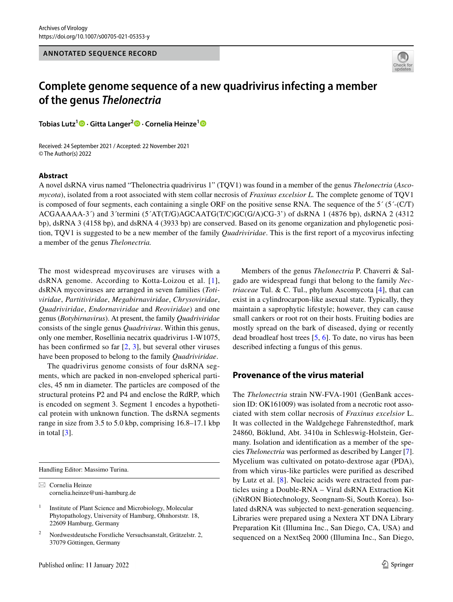

# **Complete genome sequence of a new quadrivirus infecting a member of the genus** *Thelonectria*

**Tobias Lutz1  [·](http://orcid.org/0000-0002-8214-4969) Gitta Langer[2](http://orcid.org/0000-0002-9575-0423) · Cornelia Heinze[1](http://orcid.org/0000-0003-4496-5376)**

Received: 24 September 2021 / Accepted: 22 November 2021 © The Author(s) 2022

### **Abstract**

A novel dsRNA virus named "Thelonectria quadrivirus 1" (TQV1) was found in a member of the genus *Thelonectria* (*Ascomycota*), isolated from a root associated with stem collar necrosis of *Fraxinus excelsior L.* The complete genome of TQV1 is composed of four segments, each containing a single ORF on the positive sense RNA. The sequence of the  $5^{\prime}$  ( $5^{\prime}$ -(C/T) ACGAAAAA-3´) and 3´termini (5´AT(T/G)AGCAATG(T/C)GC(G/A)CG-3') of dsRNA 1 (4876 bp), dsRNA 2 (4312 bp), dsRNA 3 (4158 bp), and dsRNA 4 (3933 bp) are conserved. Based on its genome organization and phylogenetic position, TQV1 is suggested to be a new member of the family *Quadriviridae*. This is the frst report of a mycovirus infecting a member of the genus *Thelonectria.*

The most widespread mycoviruses are viruses with a dsRNA genome. According to Kotta-Loizou et al. [[1\]](#page-2-0), dsRNA mycoviruses are arranged in seven families (*Totiviridae*, *Partitiviridae*, *Megabirnaviridae*, *Chrysoviridae*, *Quadriviridae*, *Endornaviridae* and *Reoviridae*) and one genus (*Botybirnavirus*). At present, the family *Quadriviridae* consists of the single genus *Quadrivirus*. Within this genus, only one member, Rosellinia necatrix quadrivirus 1-W1075, has been confirmed so far  $[2, 3]$  $[2, 3]$  $[2, 3]$  $[2, 3]$  $[2, 3]$ , but several other viruses have been proposed to belong to the family *Quadriviridae*.

The quadrivirus genome consists of four dsRNA segments, which are packed in non-enveloped spherical particles, 45 nm in diameter. The particles are composed of the structural proteins P2 and P4 and enclose the RdRP, which is encoded on segment 3. Segment 1 encodes a hypothetical protein with unknown function. The dsRNA segments range in size from 3.5 to 5.0 kbp, comprising 16.8–17.1 kbp in total  $[3]$  $[3]$ .

Handling Editor: Massimo Turina.

 $\boxtimes$  Cornelia Heinze cornelia.heinze@uni-hamburg.de

Members of the genus *Thelonectria* P. Chaverri & Salgado are widespread fungi that belong to the family *Nectriaceae* Tul. & C. Tul., phylum Ascomycota [[4\]](#page-2-3), that can exist in a cylindrocarpon-like asexual state. Typically, they maintain a saprophytic lifestyle; however, they can cause small cankers or root rot on their hosts. Fruiting bodies are mostly spread on the bark of diseased, dying or recently dead broadleaf host trees [\[5](#page-2-4), [6\]](#page-2-5). To date, no virus has been described infecting a fungus of this genus.

## **Provenance of the virus material**

The *Thelonectria* strain NW-FVA-1901 (GenBank accession ID: OK161009) was isolated from a necrotic root associated with stem collar necrosis of *Fraxinus excelsior* L. It was collected in the Waldgehege Fahrenstedthof, mark 24860, Böklund, Abt. 3410a in Schleswig-Holstein, Germany. Isolation and identifcation as a member of the species *Thelonectria* was performed as described by Langer [[7](#page-3-0)]. Mycelium was cultivated on potato-dextrose agar (PDA), from which virus-like particles were purifed as described by Lutz et al. [[8](#page-3-1)]. Nucleic acids were extracted from particles using a Double-RNA – Viral dsRNA Extraction Kit (iNtRON Biotechnology, Seongnam-Si, South Korea). Isolated dsRNA was subjected to next-generation sequencing. Libraries were prepared using a Nextera XT DNA Library Preparation Kit (Illumina Inc., San Diego, CA, USA) and sequenced on a NextSeq 2000 (Illumina Inc., San Diego,

 $1$  Institute of Plant Science and Microbiology, Molecular Phytopathology, University of Hamburg, Ohnhorststr. 18, 22609 Hamburg, Germany

<sup>2</sup> Nordwestdeutsche Forstliche Versuchsanstalt, Grätzelstr. 2, 37079 Göttingen, Germany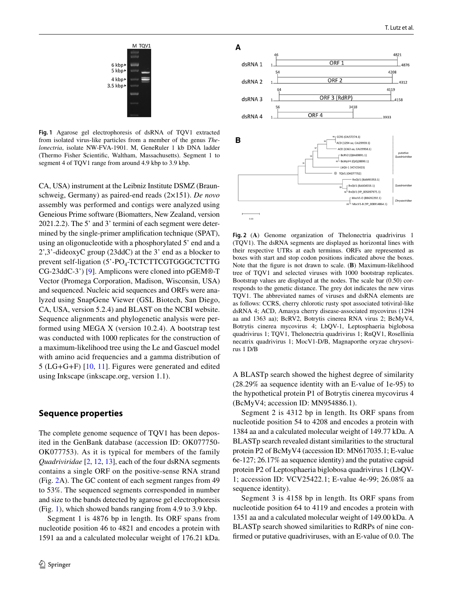

<span id="page-1-1"></span>**Fig. 1** Agarose gel electrophoresis of dsRNA of TQV1 extracted from isolated virus-like particles from a member of the genus *Thelonectria*, isolate NW-FVA-1901. M, GeneRuler 1 kb DNA ladder (Thermo Fisher Scientifc, Waltham, Massachusetts). Segment 1 to segment 4 of TQV1 range from around 4.9 kbp to 3.9 kbp.

CA, USA) instrument at the Leibniz Institute DSMZ (Braunschweig, Germany) as paired-end reads (2×151). *De novo* assembly was performed and contigs were analyzed using Geneious Prime software (Biomatters, New Zealand, version 2021.2.2). The 5' and 3' termini of each segment were determined by the single-primer amplifcation technique (SPAT), using an oligonucleotide with a phosphorylated 5' end and a 2',3'-dideoxyC group (23ddC) at the 3' end as a blocker to prevent self-ligation  $(5'-PO<sub>4</sub>-TCTCTTCGTGGGCTCTTG)$ CG-23ddC-3') [\[9](#page-3-2)]. Amplicons were cloned into pGEM®-T Vector (Promega Corporation, Madison, Wisconsin, USA) and sequenced. Nucleic acid sequences and ORFs were analyzed using SnapGene Viewer (GSL Biotech, San Diego, CA, USA, version 5.2.4) and BLAST on the NCBI website. Sequence alignments and phylogenetic analysis were performed using MEGA X (version 10.2.4). A bootstrap test was conducted with 1000 replicates for the construction of a maximum-likelihood tree using the Le and Gascuel model with amino acid frequencies and a gamma distribution of 5 (LG+G+F) [[10,](#page-3-3) [11\]](#page-3-4). Figures were generated and edited using Inkscape (inkscape.org, version 1.1).

### **Sequence properties**

The complete genome sequence of TQV1 has been deposited in the GenBank database (accession ID: OK077750- OK077753). As it is typical for members of the family *Quadriviridae* [[2,](#page-2-1) [12](#page-3-5), [13](#page-3-6)], each of the four dsRNA segments contains a single ORF on the positive-sense RNA strand (Fig. [2A](#page-1-0)). The GC content of each segment ranges from 49 to 53%. The sequenced segments corresponded in number and size to the bands detected by agarose gel electrophoresis (Fig. [1\)](#page-1-1), which showed bands ranging from 4.9 to 3.9 kbp.

Segment 1 is 4876 bp in length. Its ORF spans from nucleotide position 46 to 4821 and encodes a protein with 1591 aa and a calculated molecular weight of 176.21 kDa.



<span id="page-1-0"></span>**Fig. 2** (**A**) Genome organization of Thelonectria quadrivirus 1 (TQV1). The dsRNA segments are displayed as horizontal lines with their respective UTRs at each terminus. ORFs are represented as boxes with start and stop codon positions indicated above the boxes. Note that the fgure is not drawn to scale. (**B**) Maximum-likelihood tree of TQV1 and selected viruses with 1000 bootstrap replicates. Bootstrap values are displayed at the nodes. The scale bar (0.50) corresponds to the genetic distance. The grey dot indicates the new virus TQV1. The abbreviated names of viruses and dsRNA elements are as follows: CCRS, cherry chlorotic rusty spot associated totiviral-like dsRNA 4; ACD, Amasya cherry disease-associated mycovirus (1294 aa and 1363 aa); BcRV2, Botrytis cinerea RNA virus 2; BcMyV4, Botrytis cinerea mycovirus 4; LbQV-1, Leptosphaeria biglobosa quadrivirus 1; TQV1, Thelonectria quadrivirus 1; RnQV1, Rosellinia necatrix quadrivirus 1; MocV1-D/B, Magnaporthe oryzae chrysovirus 1 D/B

A BLASTp search showed the highest degree of similarity (28.29% aa sequence identity with an E-value of 1e-95) to the hypothetical protein P1 of Botrytis cinerea mycovirus 4 (BcMyV4; accession ID: MN954886.1).

Segment 2 is 4312 bp in length. Its ORF spans from nucleotide position 54 to 4208 and encodes a protein with 1384 aa and a calculated molecular weight of 149.77 kDa. A BLASTp search revealed distant similarities to the structural protein P2 of BcMyV4 (accession ID: MN617035.1; E-value 6e-127; 26.17% aa sequence identity) and the putative capsid protein P2 of Leptosphaeria biglobosa quadrivirus 1 (LbQV-1; accession ID: VCV25422.1; E-value 4e-99; 26.08% aa sequence identity).

Segment 3 is 4158 bp in length. Its ORF spans from nucleotide position 64 to 4119 and encodes a protein with 1351 aa and a calculated molecular weight of 149.00 kDa. A BLASTp search showed similarities to RdRPs of nine confrmed or putative quadriviruses, with an E-value of 0.0. The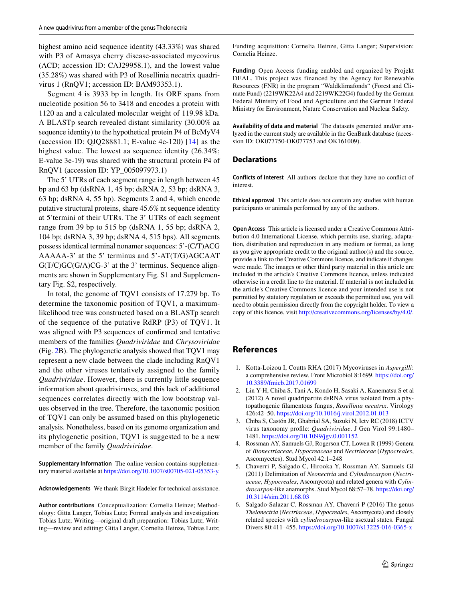highest amino acid sequence identity (43.33%) was shared with P3 of Amasya cherry disease-associated mycovirus (ACD; accession ID: CAJ29958.1), and the lowest value (35.28%) was shared with P3 of Rosellinia necatrix quadrivirus 1 (RnQV1; accession ID: BAM93353.1).

Segment 4 is 3933 bp in length. Its ORF spans from nucleotide position 56 to 3418 and encodes a protein with 1120 aa and a calculated molecular weight of 119.98 kDa. A BLASTp search revealed distant similarity (30.00% aa sequence identity) to the hypothetical protein P4 of BcMyV4 (accession ID: QJQ28881.1; E-value 4e-120)  $[14]$  $[14]$  $[14]$  as the highest value. The lowest aa sequence identity (26.34%; E-value 3e-19) was shared with the structural protein P4 of RnQV1 (accession ID: YP\_005097973.1)

The 5' UTRs of each segment range in length between 45 bp and 63 bp (dsRNA 1, 45 bp; dsRNA 2, 53 bp; dsRNA 3, 63 bp; dsRNA 4, 55 bp). Segments 2 and 4, which encode putative structural proteins, share 45.6% nt sequence identity at 5'termini of their UTRs. The 3' UTRs of each segment range from 39 bp to 515 bp (dsRNA 1, 55 bp; dsRNA 2, 104 bp; dsRNA 3, 39 bp; dsRNA 4, 515 bps). All segments possess identical terminal nonamer sequences: 5'-(C/T)ACG AAAAA-3' at the 5' terminus and 5'-AT(T/G)AGCAAT G(T/C)GC(G/A)CG-3' at the 3' terminus. Sequence alignments are shown in Supplementary Fig. S1 and Supplementary Fig. S2, respectively.

In total, the genome of TQV1 consists of 17.279 bp. To determine the taxonomic position of TQV1, a maximumlikelihood tree was constructed based on a BLASTp search of the sequence of the putative RdRP (P3) of TQV1. It was aligned with P3 sequences of confrmed and tentative members of the families *Quadriviridae* and *Chrysoviridae* (Fig. [2](#page-1-0)B). The phylogenetic analysis showed that TQV1 may represent a new clade between the clade including RnQV1 and the other viruses tentatively assigned to the family *Quadriviridae*. However, there is currently little sequence information about quadriviruses, and this lack of additional sequences correlates directly with the low bootstrap values observed in the tree. Therefore, the taxonomic position of TQV1 can only be assumed based on this phylogenetic analysis. Nonetheless, based on its genome organization and its phylogenetic position, TQV1 is suggested to be a new member of the family *Quadriviridae*.

**Supplementary Information** The online version contains supplementary material available at <https://doi.org/10.1007/s00705-021-05353-y>.

**Acknowledgements** We thank Birgit Hadeler for technical assistance.

**Author contributions** Conceptualization: Cornelia Heinze; Methodology: Gitta Langer, Tobias Lutz; Formal analysis and investigation: Tobias Lutz; Writing—original draft preparation: Tobias Lutz; Writing—review and editing: Gitta Langer, Cornelia Heinze, Tobias Lutz; Funding acquisition: Cornelia Heinze, Gitta Langer; Supervision: Cornelia Heinze.

**Funding** Open Access funding enabled and organized by Projekt DEAL. This project was financed by the Agency for Renewable Resources (FNR) in the program "Waldklimafonds" (Forest and Climate Fund) (2219WK22A4 and 2219WK22G4) funded by the German Federal Ministry of Food and Agriculture and the German Federal Ministry for Environment, Nature Conservation and Nuclear Safety.

**Availability of data and material** The datasets generated and/or analyzed in the current study are available in the GenBank database (accession ID: OK077750-OK077753 and OK161009).

#### **Declarations**

**Conflicts of interest** All authors declare that they have no confict of interest.

**Ethical approval** This article does not contain any studies with human participants or animals performed by any of the authors.

**Open Access** This article is licensed under a Creative Commons Attribution 4.0 International License, which permits use, sharing, adaptation, distribution and reproduction in any medium or format, as long as you give appropriate credit to the original author(s) and the source, provide a link to the Creative Commons licence, and indicate if changes were made. The images or other third party material in this article are included in the article's Creative Commons licence, unless indicated otherwise in a credit line to the material. If material is not included in the article's Creative Commons licence and your intended use is not permitted by statutory regulation or exceeds the permitted use, you will need to obtain permission directly from the copyright holder. To view a copy of this licence, visit<http://creativecommons.org/licenses/by/4.0/>.

## **References**

- <span id="page-2-0"></span>1. Kotta-Loizou I, Coutts RHA (2017) Mycoviruses in *Aspergilli*: a comprehensive review. Front Microbiol 8:1699. [https://doi.org/](https://doi.org/10.3389/fmicb.2017.01699) [10.3389/fmicb.2017.01699](https://doi.org/10.3389/fmicb.2017.01699)
- <span id="page-2-1"></span>2. Lin Y-H, Chiba S, Tani A, Kondo H, Sasaki A, Kanematsu S et al (2012) A novel quadripartite dsRNA virus isolated from a phytopathogenic flamentous fungus, *Rosellinia necatrix*. Virology 426:42–50.<https://doi.org/10.1016/j.virol.2012.01.013>
- <span id="page-2-2"></span>3. Chiba S, Castón JR, Ghabrial SA, Suzuki N, Ictv RC (2018) ICTV virus taxonomy profle: *Quadriviridae*. J Gen Virol 99:1480– 1481. <https://doi.org/10.1099/jgv.0.001152>
- <span id="page-2-3"></span>4. Rossman AY, Samuels GJ, Rogerson CT, Lowen R (1999) Genera of *Bionectriaceae*, *Hypocreaceae* and *Nectriaceae* (*Hypocreales*, Ascomycetes). Stud Mycol 42:1–248
- <span id="page-2-4"></span>5. Chaverri P, Salgado C, Hirooka Y, Rossman AY, Samuels GJ (2011) Delimitation of *Neonectria* and *Cylindrocarpon* (*Nectriaceae*, *Hypocreales*, Ascomycota) and related genera with *Cylindrocarpon*-like anamorphs. Stud Mycol 68:57–78. [https://doi.org/](https://doi.org/10.3114/sim.2011.68.03) [10.3114/sim.2011.68.03](https://doi.org/10.3114/sim.2011.68.03)
- <span id="page-2-5"></span>6. Salgado-Salazar C, Rossman AY, Chaverri P (2016) The genus *Thelonectria* (*Nectriaceae*, *Hypocreales*, Ascomycota) and closely related species with *cylindrocarpon*-like asexual states. Fungal Divers 80:411–455.<https://doi.org/10.1007/s13225-016-0365-x>